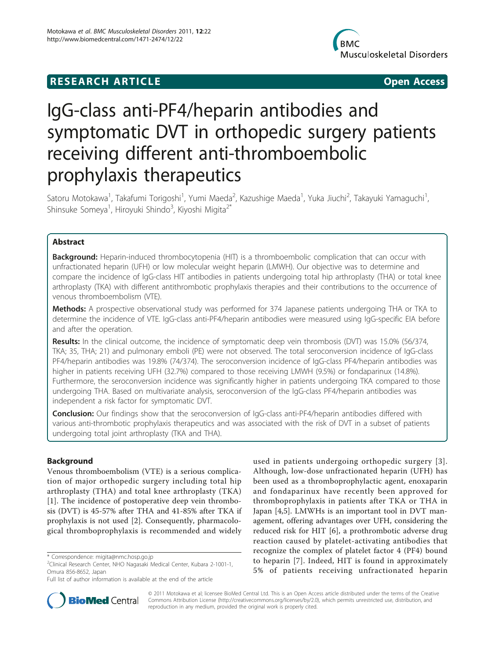## **RESEARCH ARTICLE Example 2018 12:00 Open Access**



# IgG-class anti-PF4/heparin antibodies and symptomatic DVT in orthopedic surgery patients receiving different anti-thromboembolic prophylaxis therapeutics

Satoru Motokawa<sup>1</sup>, Takafumi Torigoshi<sup>1</sup>, Yumi Maeda<sup>2</sup>, Kazushige Maeda<sup>1</sup>, Yuka Jiuchi<sup>2</sup>, Takayuki Yamaguchi<sup>1</sup> , Shinsuke Someya<sup>1</sup>, Hiroyuki Shindo<sup>3</sup>, Kiyoshi Migita<sup>2\*</sup>

## Abstract

**Background:** Heparin-induced thrombocytopenia (HIT) is a thromboembolic complication that can occur with unfractionated heparin (UFH) or low molecular weight heparin (LMWH). Our objective was to determine and compare the incidence of IgG-class HIT antibodies in patients undergoing total hip arthroplasty (THA) or total knee arthroplasty (TKA) with different antithrombotic prophylaxis therapies and their contributions to the occurrence of venous thromboembolism (VTE).

Methods: A prospective observational study was performed for 374 Japanese patients undergoing THA or TKA to determine the incidence of VTE. IgG-class anti-PF4/heparin antibodies were measured using IgG-specific EIA before and after the operation.

Results: In the clinical outcome, the incidence of symptomatic deep vein thrombosis (DVT) was 15.0% (56/374, TKA; 35, THA; 21) and pulmonary emboli (PE) were not observed. The total seroconversion incidence of IgG-class PF4/heparin antibodies was 19.8% (74/374). The seroconversion incidence of IgG-class PF4/heparin antibodies was higher in patients receiving UFH (32.7%) compared to those receiving LMWH (9.5%) or fondaparinux (14.8%). Furthermore, the seroconversion incidence was significantly higher in patients undergoing TKA compared to those undergoing THA. Based on multivariate analysis, seroconversion of the IgG-class PF4/heparin antibodies was independent a risk factor for symptomatic DVT.

**Conclusion:** Our findings show that the seroconversion of IgG-class anti-PF4/heparin antibodies differed with various anti-thrombotic prophylaxis therapeutics and was associated with the risk of DVT in a subset of patients undergoing total joint arthroplasty (TKA and THA).

## Background

Venous thromboembolism (VTE) is a serious complication of major orthopedic surgery including total hip arthroplasty (THA) and total knee arthroplasty (TKA) [[1\]](#page-6-0). The incidence of postoperative deep vein thrombosis (DVT) is 45-57% after THA and 41-85% after TKA if prophylaxis is not used [\[2](#page-6-0)]. Consequently, pharmacological thromboprophylaxis is recommended and widely

used in patients undergoing orthopedic surgery [[3\]](#page-6-0). Although, low-dose unfractionated heparin (UFH) has been used as a thromboprophylactic agent, enoxaparin and fondaparinux have recently been approved for thromboprophylaxis in patients after TKA or THA in Japan [[4,5](#page-6-0)]. LMWHs is an important tool in DVT management, offering advantages over UFH, considering the reduced risk for HIT [\[6](#page-6-0)], a prothrombotic adverse drug reaction caused by platelet-activating antibodies that recognize the complex of platelet factor 4 (PF4) bound to heparin [\[7](#page-6-0)]. Indeed, HIT is found in approximately 5% of patients receiving unfractionated heparin



© 2011 Motokawa et al; licensee BioMed Central Ltd. This is an Open Access article distributed under the terms of the Creative Commons Attribution License [\(http://creativecommons.org/licenses/by/2.0](http://creativecommons.org/licenses/by/2.0)), which permits unrestricted use, distribution, and reproduction in any medium, provided the original work is properly cited.

<sup>\*</sup> Correspondence: [migita@nmc.hosp.go.jp](mailto:migita@nmc.hosp.go.jp)

<sup>2</sup> Clinical Research Center, NHO Nagasaki Medical Center, Kubara 2-1001-1, Omura 856-8652, Japan

Full list of author information is available at the end of the article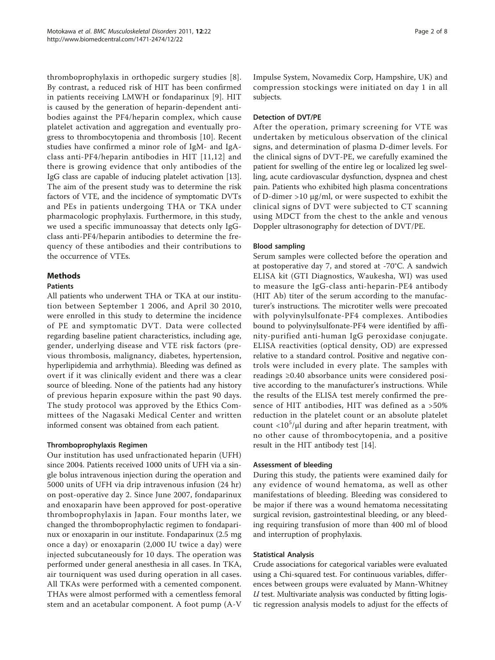thromboprophylaxis in orthopedic surgery studies [[8](#page-6-0)]. By contrast, a reduced risk of HIT has been confirmed in patients receiving LMWH or fondaparinux [[9\]](#page-6-0). HIT is caused by the generation of heparin-dependent antibodies against the PF4/heparin complex, which cause platelet activation and aggregation and eventually progress to thrombocytopenia and thrombosis [[10\]](#page-6-0). Recent studies have confirmed a minor role of IgM- and IgAclass anti-PF4/heparin antibodies in HIT [[11,12\]](#page-6-0) and there is growing evidence that only antibodies of the IgG class are capable of inducing platelet activation [\[13](#page-6-0)]. The aim of the present study was to determine the risk factors of VTE, and the incidence of symptomatic DVTs and PEs in patients undergoing THA or TKA under pharmacologic prophylaxis. Furthermore, in this study, we used a specific immunoassay that detects only IgGclass anti-PF4/heparin antibodies to determine the frequency of these antibodies and their contributions to the occurrence of VTEs.

## **Methods**

### Patients

All patients who underwent THA or TKA at our institution between September 1 2006, and April 30 2010, were enrolled in this study to determine the incidence of PE and symptomatic DVT. Data were collected regarding baseline patient characteristics, including age, gender, underlying disease and VTE risk factors (previous thrombosis, malignancy, diabetes, hypertension, hyperlipidemia and arrhythmia). Bleeding was defined as overt if it was clinically evident and there was a clear source of bleeding. None of the patients had any history of previous heparin exposure within the past 90 days. The study protocol was approved by the Ethics Committees of the Nagasaki Medical Center and written informed consent was obtained from each patient.

#### Thromboprophylaxis Regimen

Our institution has used unfractionated heparin (UFH) since 2004. Patients received 1000 units of UFH via a single bolus intravenous injection during the operation and 5000 units of UFH via drip intravenous infusion (24 hr) on post-operative day 2. Since June 2007, fondaparinux and enoxaparin have been approved for post-operative thromboprophylaxis in Japan. Four months later, we changed the thromboprophylactic regimen to fondaparinux or enoxaparin in our institute. Fondaparinux (2.5 mg once a day) or enoxaparin (2,000 IU twice a day) were injected subcutaneously for 10 days. The operation was performed under general anesthesia in all cases. In TKA, air tourniquent was used during operation in all cases. All TKAs were performed with a cemented component. THAs were almost performed with a cementless femoral stem and an acetabular component. A foot pump (A-V Impulse System, Novamedix Corp, Hampshire, UK) and compression stockings were initiated on day 1 in all subjects.

### Detection of DVT/PE

After the operation, primary screening for VTE was undertaken by meticulous observation of the clinical signs, and determination of plasma D-dimer levels. For the clinical signs of DVT-PE, we carefully examined the patient for swelling of the entire leg or localized leg swelling, acute cardiovascular dysfunction, dyspnea and chest pain. Patients who exhibited high plasma concentrations of D-dimer >10 μg/ml, or were suspected to exhibit the clinical signs of DVT were subjected to CT scanning using MDCT from the chest to the ankle and venous Doppler ultrasonography for detection of DVT/PE.

#### Blood sampling

Serum samples were collected before the operation and at postoperative day 7, and stored at -70°C. A sandwich ELISA kit (GTI Diagnostics, Waukesha, WI) was used to measure the IgG-class anti-heparin-PE4 antibody (HIT Ab) titer of the serum according to the manufacturer's instructions. The microtiter wells were precoated with polyvinylsulfonate-PF4 complexes. Antibodies bound to polyvinylsulfonate-PF4 were identified by affinity-purified anti-human IgG peroxidase conjugate. ELISA reactivities (optical density, OD) are expressed relative to a standard control. Positive and negative controls were included in every plate. The samples with readings ≥0.40 absorbance units were considered positive according to the manufacturer's instructions. While the results of the ELISA test merely confirmed the presence of HIT antibodies, HIT was defined as a >50% reduction in the platelet count or an absolute platelet count  $<$ 10<sup>5</sup>/ $\mu$ l during and after heparin treatment, with no other cause of thrombocytopenia, and a positive result in the HIT antibody test [[14\]](#page-6-0).

#### Assessment of bleeding

During this study, the patients were examined daily for any evidence of wound hematoma, as well as other manifestations of bleeding. Bleeding was considered to be major if there was a wound hematoma necessitating surgical revision, gastrointestinal bleeding, or any bleeding requiring transfusion of more than 400 ml of blood and interruption of prophylaxis.

#### Statistical Analysis

Crude associations for categorical variables were evaluated using a Chi-squared test. For continuous variables, differences between groups were evaluated by Mann-Whitney  $U$  test. Multivariate analysis was conducted by fitting logistic regression analysis models to adjust for the effects of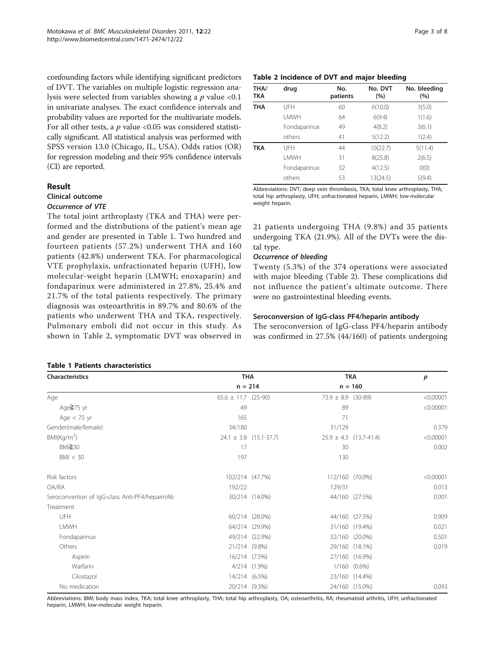confounding factors while identifying significant predictors of DVT. The variables on multiple logistic regression analysis were selected from variables showing a  $p$  value <0.1 in univariate analyses. The exact confidence intervals and probability values are reported for the multivariate models. For all other tests, a  $p$  value <0.05 was considered statistically significant. All statistical analysis was performed with SPSS version 13.0 (Chicago, IL, USA). Odds ratios (OR) for regression modeling and their 95% confidence intervals (CI) are reported.

#### Result

## Clinical outcome

### Occurrence of VTE

The total joint arthroplasty (TKA and THA) were performed and the distributions of the patient's mean age and gender are presented in Table 1. Two hundred and fourteen patients (57.2%) underwent THA and 160 patients (42.8%) underwent TKA. For pharmacological VTE prophylaxis, unfractionated heparin (UFH), low molecular-weight heparin (LMWH; enoxaparin) and fondaparinux were administered in 27.8%, 25.4% and 21.7% of the total patients respectively. The primary diagnosis was osteoarthritis in 89.7% and 80.6% of the patients who underwent THA and TKA, respectively. Pulmonary emboli did not occur in this study. As shown in Table 2, symptomatic DVT was observed in

#### Table 1 Patients characteristics

### Table 2 Incidence of DVT and major bleeding

| THA/<br><b>TKA</b> | drug         | No.<br>patients | No. DVT<br>(%) | No. bleeding<br>(%) |
|--------------------|--------------|-----------------|----------------|---------------------|
| <b>THA</b>         | UFH          | 60              | 6(10.0)        | 3(5.0)              |
|                    | <b>LMWH</b>  | 64              | 6(9.4)         | 1(1.6)              |
|                    | Fondaparinux | 49              | 4(8.2)         | 3(6.1)              |
|                    | others       | 41              | 5(12.2)        | 1(2.4)              |
| <b>TKA</b>         | UFH          | 44              | 10(22.7)       | 5(11.4)             |
|                    | <b>LMWH</b>  | 31              | 8(25.8)        | 2(6.5)              |
|                    | Fondaparinux | 32              | 4(12.5)        | O(0)                |
|                    | others       | 53              | 13(24.5)       | 5(9.4)              |

Abbreviations: DVT; deep vein thrombosis, TKA; total knee arthroplasty, THA; total hip arthroplasty, UFH; unfractionated heparin, LMWH; low-molecular weight heparin.

21 patients undergoing THA (9.8%) and 35 patients undergoing TKA (21.9%). All of the DVTs were the distal type.

#### Occurrence of bleeding

Twenty (5.3%) of the 374 operations were associated with major bleeding (Table 2). These complications did not influence the patient's ultimate outcome. There were no gastrointestinal bleeding events.

## Seroconversion of IgG-class PF4/heparin antibody

The seroconversion of IgG-class PF4/heparin antibody was confirmed in 27.5% (44/160) of patients undergoing

| <b>Characteristics</b>                         | <b>THA</b>              |                            |                        | <b>TKA</b>                 | p         |
|------------------------------------------------|-------------------------|----------------------------|------------------------|----------------------------|-----------|
|                                                | $n = 214$               |                            |                        | $n = 160$                  |           |
| Age                                            | $65.6 \pm 11.7$ (25-90) |                            | $73.9 \pm 8.9$ (30-89) |                            | < 0.00001 |
| Age≧75 yr                                      | 49                      |                            | 89                     |                            | < 0.00001 |
| Age $<$ 75 yr                                  | 165                     |                            | 71                     |                            |           |
| Gender(male/female)                            | 34/180                  |                            | 31/129                 |                            | 0.379     |
| BMI(Kg/m <sup>2</sup> )                        |                         | $24.1 \pm 3.8$ (15.1-37.7) |                        | $25.9 \pm 4.3$ (13.7-41.4) | < 0.00001 |
| BMl <sup>230</sup>                             | 17                      |                            | 30                     |                            | 0.002     |
| BM < 30                                        | 197                     |                            | 130                    |                            |           |
| Risk factors                                   | 102/214 (47.7%)         |                            | 112/160 (70.0%)        |                            | < 0.00001 |
| OA/RA                                          | 192/22                  |                            | 129/31                 |                            | 0.013     |
| Seroconvertion of IgG-class Anti-PF4/heparinAb |                         | 30/214 (14.0%)             |                        | 44/160 (27.5%)             | 0.001     |
| Treatment                                      |                         |                            |                        |                            |           |
| UFH                                            |                         | 60/214 (28.0%)             |                        | 44/160 (27.5%)             | 0.909     |
| LMWH                                           |                         | 64/214 (29.9%)             |                        | 31/160 (19.4%)             | 0.021     |
| Fondaparinux                                   |                         | 49/214 (22.9%)             |                        | 32/160 (20.0%)             | 0.501     |
| Others                                         | 21/214 (9.8%)           |                            |                        | 29/160 (18.1%)             | 0.019     |
| Aspirin                                        |                         | 16/214 (7.5%)              |                        | 27/160 (16.9%)             |           |
| Warfarin                                       |                         | 4/214 (1.9%)               |                        | 1/160 (0.6%)               |           |
| Cilostazol                                     |                         | 14/214 (6.5%)              |                        | 23/160 (14.4%)             |           |
| No medication                                  |                         | 20/214 (9.3%)              |                        | 24/160 (15.0%)             | 0.093     |

Abbreviations: BMI; body mass index, TKA; total knee arthroplasty, THA; total hip arthroplasty, OA; osteoarthritis, RA; rheumatoid arthritis, UFH; unfractionated heparin, LMWH; low-molecular weight heparin.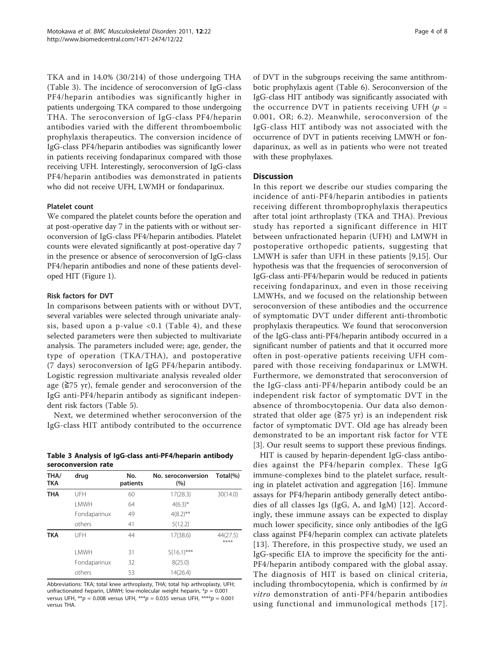TKA and in 14.0% (30/214) of those undergoing THA (Table 3). The incidence of seroconversion of IgG-class PF4/heparin antibodies was significantly higher in patients undergoing TKA compared to those undergoing THA. The seroconversion of IgG-class PF4/heparin antibodies varied with the different thromboembolic prophylaxis therapeutics. The conversion incidence of IgG-class PF4/heparin antibodies was significantly lower in patients receiving fondaparinux compared with those receiving UFH. Interestingly, seroconversion of IgG-class PF4/heparin antibodies was demonstrated in patients who did not receive UFH, LWMH or fondaparinux.

### Platelet count

We compared the platelet counts before the operation and at post-operative day 7 in the patients with or without seroconversion of IgG-class PF4/heparin antibodies. Platelet counts were elevated significantly at post-operative day 7 in the presence or absence of seroconversion of IgG-class PF4/heparin antibodies and none of these patients developed HIT (Figure [1](#page-4-0)).

## Risk factors for DVT

In comparisons between patients with or without DVT, several variables were selected through univariate analysis, based upon a p-value <0.1 (Table [4](#page-4-0)), and these selected parameters were then subjected to multivariate analysis. The parameters included were; age, gender, the type of operation (TKA/THA), and postoperative (7 days) seroconversion of IgG PF4/heparin antibody. Logistic regression multivariate analysis revealed older age  $(\geq 75 \text{ yr})$ , female gender and seroconversion of the IgG anti-PF4/heparin antibody as significant independent risk factors (Table [5\)](#page-5-0).

Next, we determined whether seroconversion of the IgG-class HIT antibody contributed to the occurrence

|                     | Table 3 Analysis of IgG-class anti-PF4/heparin antibody |
|---------------------|---------------------------------------------------------|
| seroconversion rate |                                                         |

| THA/<br><b>TKA</b> | drug         | No.<br>patients | No. seroconversion<br>(%) | Total(%)         |
|--------------------|--------------|-----------------|---------------------------|------------------|
| <b>THA</b>         | UFH          | 60              | 17(28.3)                  | 30(14.0)         |
|                    | I MWH        | 64              | $4(6.3)^{*}$              |                  |
|                    | Fondaparinux | 49              | $4(8.2)$ **               |                  |
|                    | others       | 41              | 5(12.2)                   |                  |
| <b>TKA</b>         | UFH          | 44              | 17(38.6)                  | 44(27.5)<br>**** |
|                    | <b>I MWH</b> | 31              | $5(16.1)$ ***             |                  |
|                    | Fondaparinux | 32              | 8(25.0)                   |                  |
|                    | others       | 53              | 14(26.4)                  |                  |

Abbreviations: TKA; total knee arthroplasty, THA; total hip arthroplasty, UFH; unfractionated heparin, LMWH; low-molecular weight heparin,  $* p = 0.001$ versus UFH,  $^{**}p = 0.008$  versus UFH,  $^{***}p = 0.035$  versus UFH,  $^{***}p = 0.001$ versus THA.

of DVT in the subgroups receiving the same antithrombotic prophylaxis agent (Table [6](#page-5-0)). Seroconversion of the IgG-class HIT antibody was significantly associated with the occurrence DVT in patients receiving UFH ( $p =$ 0.001, OR; 6.2). Meanwhile, seroconversion of the IgG-class HIT antibody was not associated with the occurrence of DVT in patients receiving LMWH or fondaparinux, as well as in patients who were not treated with these prophylaxes.

## **Discussion**

In this report we describe our studies comparing the incidence of anti-PF4/heparin antibodies in patients receiving different thromboprophylaxis therapeutics after total joint arthroplasty (TKA and THA). Previous study has reported a significant difference in HIT between unfractionated heparin (UFH) and LMWH in postoperative orthopedic patients, suggesting that LMWH is safer than UFH in these patients [\[9](#page-6-0),[15\]](#page-6-0). Our hypothesis was that the frequencies of seroconversion of IgG-class anti-PF4/heparin would be reduced in patients receiving fondaparinux, and even in those receiving LMWHs, and we focused on the relationship between seroconversion of these antibodies and the occurrence of symptomatic DVT under different anti-thrombotic prophylaxis therapeutics. We found that seroconversion of the IgG-class anti-PF4/heparin antibody occurred in a significant number of patients and that it occurred more often in post-operative patients receiving UFH compared with those receiving fondaparinux or LMWH. Furthermore, we demonstrated that seroconversion of the IgG-class anti-PF4/heparin antibody could be an independent risk factor of symptomatic DVT in the absence of thrombocytopenia. Our data also demonstrated that older age  $(≥75 \text{ yr})$  is an independent risk factor of symptomatic DVT. Old age has already been demonstrated to be an important risk factor for VTE [[3\]](#page-6-0). Our result seems to support these previous findings.

HIT is caused by heparin-dependent IgG-class antibodies against the PF4/heparin complex. These IgG immune-complexes bind to the platelet surface, resulting in platelet activation and aggregation [\[16](#page-7-0)]. Immune assays for PF4/heparin antibody generally detect antibodies of all classes Igs (IgG, A, and IgM) [\[12\]](#page-6-0). Accordingly, these immune assays can be expected to display much lower specificity, since only antibodies of the IgG class against PF4/heparin complex can activate platelets [[13\]](#page-6-0). Therefore, in this prospective study, we used an IgG-specific EIA to improve the specificity for the anti-PF4/heparin antibody compared with the global assay. The diagnosis of HIT is based on clinical criteria, including thrombocytopenia, which is confirmed by in vitro demonstration of anti-PF4/heparin antibodies using functional and immunological methods [[17\]](#page-7-0).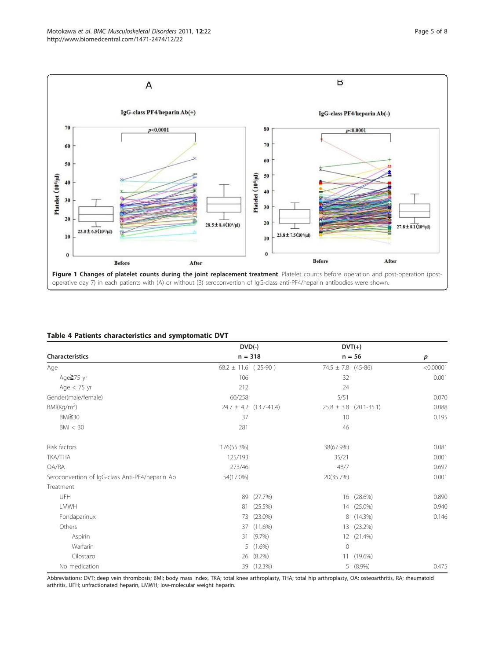<span id="page-4-0"></span>

### Table 4 Patients characteristics and symptomatic DVT

|                                                 | $DVD(-)$                |                            |                    | $DVT(+)$                   |                  |
|-------------------------------------------------|-------------------------|----------------------------|--------------------|----------------------------|------------------|
| Characteristics                                 | $n = 318$               |                            |                    | $n = 56$                   | $\boldsymbol{p}$ |
| Age                                             | $68.2 \pm 11.6$ (25-90) |                            | 74.5 ± 7.8 (45-86) |                            | < 0.00001        |
| Age≧75 yr                                       | 106                     |                            | 32                 |                            | 0.001            |
| Age $<$ 75 yr                                   | 212                     |                            | 24                 |                            |                  |
| Gender(male/female)                             | 60/258                  |                            | 5/51               |                            | 0.070            |
| BM(Kq/m <sup>2</sup> )                          |                         | $24.7 \pm 4.2$ (13.7-41.4) |                    | $25.8 \pm 3.8$ (20.1-35.1) | 0.088            |
| BMI≧30                                          | 37                      |                            | 10                 |                            | 0.195            |
| BM < 30                                         | 281                     |                            | 46                 |                            |                  |
| Risk factors                                    | 176(55.3%)              |                            | 38(67.9%)          |                            | 0.081            |
| TKA/THA                                         | 125/193                 |                            | 35/21              |                            | 0.001            |
| OA/RA                                           | 273/46                  |                            | 48/7               |                            | 0.697            |
| Seroconvertion of IgG-class Anti-PF4/heparin Ab | 54(17.0%)               |                            | 20(35.7%)          |                            | 0.001            |
| Treatment                                       |                         |                            |                    |                            |                  |
| UFH                                             | 89                      | (27.7%)                    |                    | 16 (28.6%)                 | 0.890            |
| LMWH                                            | 81                      | $(25.5\%)$                 |                    | 14 (25.0%)                 | 0.940            |
| Fondaparinux                                    | 73                      | $(23.0\%)$                 | 8                  | $(14.3\%)$                 | 0.146            |
| Others                                          | 37                      | $(11.6\%)$                 | 13                 | $(23.2\%)$                 |                  |
| Aspirin                                         | 31                      | (9.7%                      |                    | 12 (21.4%)                 |                  |
| Warfarin                                        | 5                       | $(1.6\%)$                  | $\circ$            |                            |                  |
| Cilostazol                                      | 26                      | $(8.2\%)$                  |                    | 11 (19.6%)                 |                  |
| No medication                                   |                         | 39 (12.3%)                 |                    | 5 (8.9%)                   | 0.475            |

Abbreviations: DVT; deep vein thrombosis; BMI; body mass index, TKA; total knee arthroplasty, THA; total hip arthroplasty, OA; osteoarthritis, RA; rheumatoid arthritis, UFH; unfractionated heparin, LMWH; low-molecular weight heparin.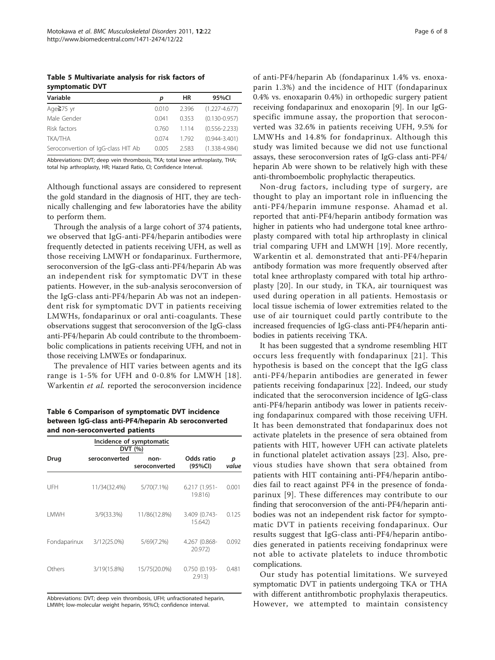<span id="page-5-0"></span>Table 5 Multivariate analysis for risk factors of symptomatic DVT

| Variable                           | р     | ΗR    | 95%CI             |
|------------------------------------|-------|-------|-------------------|
| Age≧75 yr                          | 0.010 | 2.396 | $(1.227 - 4.677)$ |
| Male Gender                        | 0.041 | 0.353 | $(0.130 - 0.957)$ |
| Risk factors                       | 0.760 | 1.114 | $(0.556 - 2.233)$ |
| <b>TKA/THA</b>                     | 0.074 | 1792  | $(0.944 - 3.401)$ |
| Seroconvertion of IgG-class HIT Ab | 0.005 | 2.583 | $(1.338 - 4.984)$ |

Abbreviations: DVT; deep vein thrombosis, TKA; total knee arthroplasty, THA; total hip arthroplasty, HR; Hazard Ratio, CI; Confidence Interval.

Although functional assays are considered to represent the gold standard in the diagnosis of HIT, they are technically challenging and few laboratories have the ability to perform them.

Through the analysis of a large cohort of 374 patients, we observed that IgG-anti-PF4/heparin antibodies were frequently detected in patients receiving UFH, as well as those receiving LMWH or fondaparinux. Furthermore, seroconversion of the IgG-class anti-PF4/heparin Ab was an independent risk for symptomatic DVT in these patients. However, in the sub-analysis seroconversion of the IgG-class anti-PF4/heparin Ab was not an independent risk for symptomatic DVT in patients receiving LMWHs, fondaparinux or oral anti-coagulants. These observations suggest that seroconversion of the IgG-class anti-PF4/heparin Ab could contribute to the thromboembolic complications in patients receiving UFH, and not in those receiving LMWEs or fondaparinux.

The prevalence of HIT varies between agents and its range is 1-5% for UFH and 0-0.8% for LMWH [[18\]](#page-7-0). Warkentin et al. reported the seroconversion incidence

Table 6 Comparison of symptomatic DVT incidence between IgG-class anti-PF4/heparin Ab seroconverted and non-seroconverted patients

| Incidence of symptomatic<br>DVT (%) |               |                       |                            |            |  |  |  |
|-------------------------------------|---------------|-----------------------|----------------------------|------------|--|--|--|
| Drug                                | seroconverted | non-<br>seroconverted | Odds ratio<br>(95%CI)      | р<br>value |  |  |  |
| UFH                                 | 11/34(32.4%)  | 5/70(7.1%)            | $6.217(1.951 -$<br>19.816) | 0.001      |  |  |  |
| <b>I MWH</b>                        | 3/9(33.3%)    | 11/86(12.8%)          | 3.409 (0.743-<br>15.642)   | 0.125      |  |  |  |
| Fondaparinux                        | 3/12(25.0%)   | 5/69(7.2%)            | 4.267 (0.868-<br>20.972)   | 0.092      |  |  |  |
| Others                              | 3/19(15.8%)   | 15/75(20.0%)          | 0.750 (0.193-<br>2.913)    | 0.481      |  |  |  |

Abbreviations: DVT; deep vein thrombosis, UFH; unfractionated heparin, LMWH; low-molecular weight heparin, 95%CI; confidence interval.

of anti-PF4/heparin Ab (fondaparinux 1.4% vs. enoxaparin 1.3%) and the incidence of HIT (fondaparinux 0.4% vs. enoxaparin 0.4%) in orthopedic surgery patient receiving fondaparinux and enoxoparin [[9\]](#page-6-0). In our IgGspecific immune assay, the proportion that seroconverted was 32.6% in patients receiving UFH, 9.5% for LMWHs and 14.8% for fondaprinux. Although this study was limited because we did not use functional assays, these seroconversion rates of IgG-class anti-PF4/ heparin Ab were shown to be relatively high with these anti-thromboembolic prophylactic therapeutics.

Non-drug factors, including type of surgery, are thought to play an important role in influencing the anti-PF4/heparin immune response. Ahamad et al. reported that anti-PF4/heparin antibody formation was higher in patients who had undergone total knee arthroplasty compared with total hip arthroplasty in clinical trial comparing UFH and LMWH [[19\]](#page-7-0). More recently, Warkentin et al. demonstrated that anti-PF4/heparin antibody formation was more frequently observed after total knee arthroplasty compared with total hip arthroplasty [[20\]](#page-7-0). In our study, in TKA, air tourniquest was used during operation in all patients. Hemostasis or local tissue ischemia of lower extremities related to the use of air tourniquet could partly contribute to the increased frequencies of IgG-class anti-PF4/heparin antibodies in patients receiving TKA.

It has been suggested that a syndrome resembling HIT occurs less frequently with fondaparinux [[21\]](#page-7-0). This hypothesis is based on the concept that the IgG class anti-PF4/heparin antibodies are generated in fewer patients receiving fondaparinux [[22](#page-7-0)]. Indeed, our study indicated that the seroconversion incidence of IgG-class anti-PF4/heparin antibody was lower in patients receiving fondaparinux compared with those receiving UFH. It has been demonstrated that fondaparinux does not activate platelets in the presence of sera obtained from patients with HIT, however UFH can activate platelets in functional platelet activation assays [[23\]](#page-7-0). Also, previous studies have shown that sera obtained from patients with HIT containing anti-PF4/heparin antibodies fail to react against PF4 in the presence of fondaparinux [\[9\]](#page-6-0). These differences may contribute to our finding that seroconversion of the anti-PF4/heparin antibodies was not an independent risk factor for symptomatic DVT in patients receiving fondaparinux. Our results suggest that IgG-class anti-PF4/heparin antibodies generated in patients receiving fondaprinux were not able to activate platelets to induce thrombotic complications.

Our study has potential limitations. We surveyed symptomatic DVT in patients undergoing TKA or THA with different antithrombotic prophylaxis therapeutics. However, we attempted to maintain consistency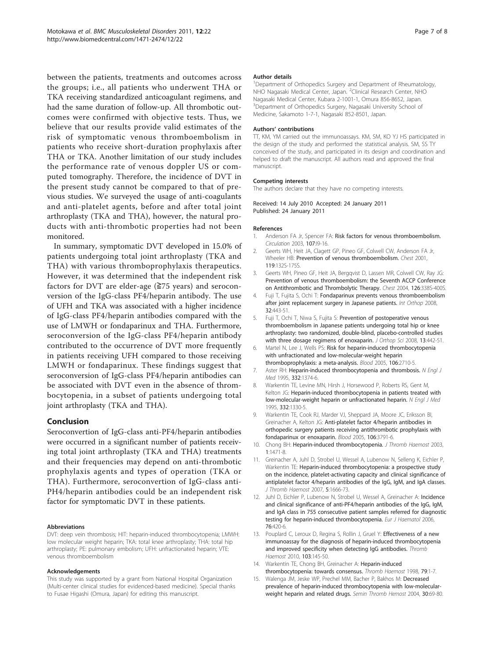<span id="page-6-0"></span>between the patients, treatments and outcomes across the groups; i.e., all patients who underwent THA or TKA receiving standardized anticoagulant regimens, and had the same duration of follow-up. All thrombotic outcomes were confirmed with objective tests. Thus, we believe that our results provide valid estimates of the risk of symptomatic venous thromboembolism in patients who receive short-duration prophylaxis after THA or TKA. Another limitation of our study includes the performance rate of venous doppler US or computed tomography. Therefore, the incidence of DVT in the present study cannot be compared to that of previous studies. We surveyed the usage of anti-coagulants and anti-platelet agents, before and after total joint arthroplasty (TKA and THA), however, the natural products with anti-thrombotic properties had not been monitored.

In summary, symptomatic DVT developed in 15.0% of patients undergoing total joint arthroplasty (TKA and THA) with various thromboprophylaxis therapeutics. However, it was determined that the independent risk factors for DVT are elder-age (≧75 years) and seroconversion of the IgG-class PF4/heparin antibody. The use of UFH and TKA was associated with a higher incidence of IgG-class PF4/heparin antibodies compared with the use of LMWH or fondaparinux and THA. Furthermore, seroconversion of the IgG-class PF4/heparin antibody contributed to the occurrence of DVT more frequently in patients receiving UFH compared to those receiving LMWH or fondaparinux. These findings suggest that seroconversion of IgG-class PF4/heparin antibodies can be associated with DVT even in the absence of thrombocytopenia, in a subset of patients undergoing total joint arthroplasty (TKA and THA).

## Conclusion

Seroconvertion of IgG-class anti-PF4/heparin antibodies were occurred in a significant number of patients receiving total joint arthroplasty (TKA and THA) treatments and their frequencies may depend on anti-thrombotic prophylaxis agents and types of operation (TKA or THA). Furthermore, seroconvertion of IgG-class anti-PH4/heparin antibodies could be an independent risk factor for symptomatic DVT in these patients.

#### Abbreviations

DVT: deep vein thrombosis; HIT: heparin-induced thrombocytopenia; LMWH: low molecular weight heparin; TKA: total knee arthroplasty; THA: total hip arthroplasty; PE: pulmonary embolism; UFH: unfractionated heparin; VTE: venous thromboembolism

#### Acknowledgements

This study was supported by a grant from National Hospital Organization (Multi-center clinical studies for evidenced-based medicine). Special thanks to Fusae Higashi (Omura, Japan) for editing this manuscript.

#### Author details

<sup>1</sup>Department of Orthopedics Surgery and Department of Rheumatology, NHO Nagasaki Medical Center, Japan. <sup>2</sup>Clinical Research Center, NHO Nagasaki Medical Center, Kubara 2-1001-1, Omura 856-8652, Japan. <sup>3</sup>Department of Orthopedics Surgery, Nagasaki University School of Medicine, Sakamoto 1-7-1, Nagasaki 852-8501, Japan.

#### Authors' contributions

TT, KM, YM carried out the immunoassays. KM, SM, KO YJ HS participated in the design of the study and performed the statistical analysis. SM, SS TY conceived of the study, and participated in its design and coordination and helped to draft the manuscript. All authors read and approved the final manuscript.

#### Competing interests

The authors declare that they have no competing interests.

#### Received: 14 July 2010 Accepted: 24 January 2011 Published: 24 January 2011

#### References

- Anderson FA Jr. Spencer FA: [Risk factors for venous thromboembolism.](http://www.ncbi.nlm.nih.gov/pubmed/12814980?dopt=Abstract) Circulation 2003, 107:I9-16.
- 2. Geerts WH, Heit JA, Clagett GP, Pineo GF, Colwell CW, Anderson FA Jr, Wheeler HB: [Prevention of venous thromboembolism.](http://www.ncbi.nlm.nih.gov/pubmed/11157647?dopt=Abstract) Chest 2001, 119:132S-175S.
- 3. Geerts WH, Pineo GF, Heit JA, Bergqvist D, Lassen MR, Colwell CW, Ray JG: [Prevention of venous thromboembolism: the Seventh ACCP Conference](http://www.ncbi.nlm.nih.gov/pubmed/15383478?dopt=Abstract) [on Antithrombotic and Thrombolytic Therapy.](http://www.ncbi.nlm.nih.gov/pubmed/15383478?dopt=Abstract) Chest 2004, 126:338S-400S.
- 4. Fuji T, Fujita S, Ochi T: [Fondaparinux prevents venous thromboembolism](http://www.ncbi.nlm.nih.gov/pubmed/17468868?dopt=Abstract) [after joint replacement surgery in Japanese patients.](http://www.ncbi.nlm.nih.gov/pubmed/17468868?dopt=Abstract) Int Orthop 2008, 32:443-51.
- 5. Fuji T, Ochi T, Niwa S, Fujita S: [Prevention of postoperative venous](http://www.ncbi.nlm.nih.gov/pubmed/18843459?dopt=Abstract) [thromboembolism in Japanese patients undergoing total hip or knee](http://www.ncbi.nlm.nih.gov/pubmed/18843459?dopt=Abstract) [arthroplasty: two randomized, double-blind, placebo-controlled studies](http://www.ncbi.nlm.nih.gov/pubmed/18843459?dopt=Abstract) [with three dosage regimens of enoxaparin.](http://www.ncbi.nlm.nih.gov/pubmed/18843459?dopt=Abstract) J Orthop Sci 2008, 13:442-51.
- 6. Martel N, Lee J, Wells PS: [Risk for heparin-induced thrombocytopenia](http://www.ncbi.nlm.nih.gov/pubmed/15985543?dopt=Abstract) [with unfractionated and low-molecular-weight heparin](http://www.ncbi.nlm.nih.gov/pubmed/15985543?dopt=Abstract) [thromboprophylaxis: a meta-analysis.](http://www.ncbi.nlm.nih.gov/pubmed/15985543?dopt=Abstract) Blood 2005, 106:2710-5.
- 7. Aster RH: [Heparin-induced thrombocytopenia and thrombosis.](http://www.ncbi.nlm.nih.gov/pubmed/7715648?dopt=Abstract) N Engl J Med 1995, 332:1374-6.
- 8. Warkentin TE, Levine MN, Hirsh J, Horsewood P, Roberts RS, Gent M, Kelton JG: [Heparin-induced thrombocytopenia in patients treated with](http://www.ncbi.nlm.nih.gov/pubmed/7715641?dopt=Abstract) [low-molecular-weight heparin or unfractionated heparin.](http://www.ncbi.nlm.nih.gov/pubmed/7715641?dopt=Abstract) N Engl J Med 1995, 332:1330-5.
- 9. Warkentin TE, Cook RJ, Marder VJ, Sheppard JA, Moore JC, Eriksson BI, Greinacher A, Kelton JG: [Anti-platelet factor 4/heparin antibodies in](http://www.ncbi.nlm.nih.gov/pubmed/16109780?dopt=Abstract) [orthopedic surgery patients receiving antithrombotic prophylaxis with](http://www.ncbi.nlm.nih.gov/pubmed/16109780?dopt=Abstract) [fondaparinux or enoxaparin.](http://www.ncbi.nlm.nih.gov/pubmed/16109780?dopt=Abstract) Blood 2005, 106:3791-6.
- 10. Chong BH: [Heparin-induced thrombocytopenia.](http://www.ncbi.nlm.nih.gov/pubmed/12871282?dopt=Abstract) J Thromb Haemost 2003, 1:1471-8.
- 11. Greinacher A, Juhl D, Strobel U, Wessel A, Lubenow N, Selleng K, Eichler P, Warkentin TE: [Heparin-induced thrombocytopenia: a prospective study](http://www.ncbi.nlm.nih.gov/pubmed/17488345?dopt=Abstract) [on the incidence, platelet-activating capacity and clinical significance of](http://www.ncbi.nlm.nih.gov/pubmed/17488345?dopt=Abstract) [antiplatelet factor 4/heparin antibodies of the IgG, IgM, and IgA classes.](http://www.ncbi.nlm.nih.gov/pubmed/17488345?dopt=Abstract) J Thromb Haemost 2007, 5:1666-73.
- 12. Juhl D, Eichler P, Lubenow N, Strobel U, Wessel A, Greinacher A: [Incidence](http://www.ncbi.nlm.nih.gov/pubmed/16466367?dopt=Abstract) [and clinical significance of anti-PF4/heparin antibodies of the IgG, IgM,](http://www.ncbi.nlm.nih.gov/pubmed/16466367?dopt=Abstract) [and IgA class in 755 consecutive patient samples referred for diagnostic](http://www.ncbi.nlm.nih.gov/pubmed/16466367?dopt=Abstract) [testing for heparin-induced thrombocytopenia.](http://www.ncbi.nlm.nih.gov/pubmed/16466367?dopt=Abstract) Eur J Haematol 2006, 76:420-6.
- 13. Pouplard C, Leroux D, Regina S, Rollin J, Gruel Y: [Effectiveness of a new](http://www.ncbi.nlm.nih.gov/pubmed/20062918?dopt=Abstract) [immunoassay for the diagnosis of heparin-induced thrombocytopenia](http://www.ncbi.nlm.nih.gov/pubmed/20062918?dopt=Abstract) [and improved specificity when detecting IgG antibodies.](http://www.ncbi.nlm.nih.gov/pubmed/20062918?dopt=Abstract) Thromb Haemost 2010, 103:145-50.
- 14. Warkentin TE, Chong BH, Greinacher A: [Heparin-induced](http://www.ncbi.nlm.nih.gov/pubmed/9459312?dopt=Abstract) [thrombocytopenia: towards consensus.](http://www.ncbi.nlm.nih.gov/pubmed/9459312?dopt=Abstract) Thromb Haemost 1998, 79:1-7.
- 15. Walenga JM, Jeske WP, Prechel MM, Bacher P, Bakhos M: [Decreased](http://www.ncbi.nlm.nih.gov/pubmed/15085468?dopt=Abstract) [prevalence of heparin-induced thrombocytopenia with low-molecular](http://www.ncbi.nlm.nih.gov/pubmed/15085468?dopt=Abstract)[weight heparin and related drugs.](http://www.ncbi.nlm.nih.gov/pubmed/15085468?dopt=Abstract) Semin Thromb Hemost 2004, 30:69-80.